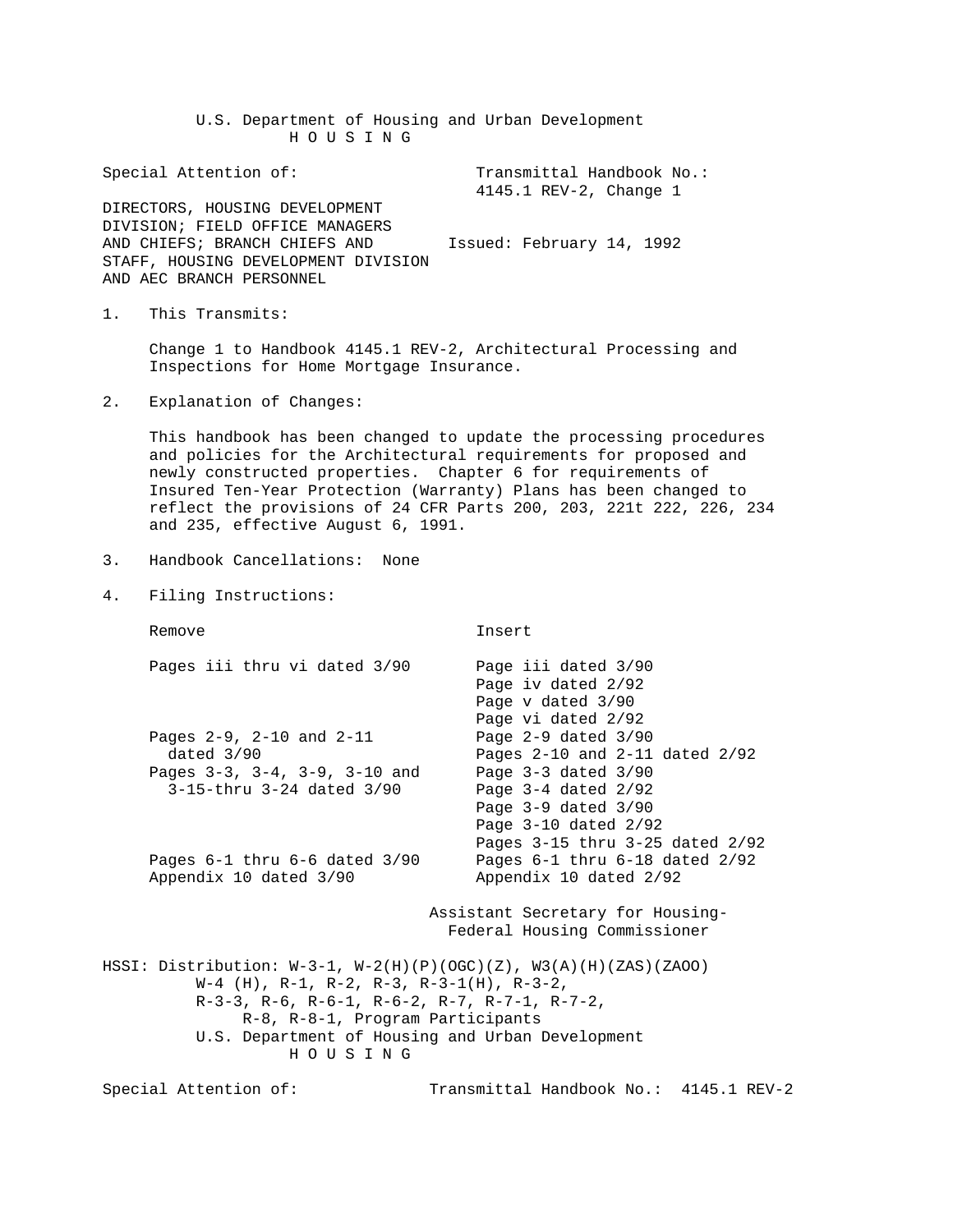U.S. Department of Housing and Urban Development H O U S I N G Special Attention of: Transmittal Handbook No.: 4145.1 REV-2, Change 1 DIRECTORS, HOUSING DEVELOPMENT DIVISION; FIELD OFFICE MANAGERS AND CHIEFS; BRANCH CHIEFS AND Issued: February 14, 1992 STAFF, HOUSING DEVELOPMENT DIVISION AND AEC BRANCH PERSONNEL 1. This Transmits: Change 1 to Handbook 4145.1 REV-2, Architectural Processing and Inspections for Home Mortgage Insurance. 2. Explanation of Changes: This handbook has been changed to update the processing procedures and policies for the Architectural requirements for proposed and newly constructed properties. Chapter 6 for requirements of Insured Ten-Year Protection (Warranty) Plans has been changed to reflect the provisions of 24 CFR Parts 200, 203, 221t 222, 226, 234 and 235, effective August 6, 1991. 3. Handbook Cancellations: None 4. Filing Instructions: Remove Insert Pages iii thru vi dated 3/90 Page iii dated 3/90 Page iv dated 2/92 Page v dated 3/90 Page vi dated 2/92 Pages 2-9, 2-10 and 2-11 Page 2-9 dated 3/90 dated 3/90 Pages 2-10 and 2-11 dated 2/92 Pages 3-3, 3-4, 3-9, 3-10 and Page 3-3 dated 3/90 3-15-thru 3-24 dated 3/90 Page 3-4 dated 2/92 Page 3-9 dated 3/90 Page 3-10 dated 2/92 Pages 3-15 thru 3-25 dated 2/92 Pages 6-1 thru 6-6 dated 3/90 Pages 6-1 thru 6-18 dated 2/92 Appendix 10 dated 3/90 Appendix 10 dated 2/92 Assistant Secretary for Housing- Federal Housing Commissioner HSSI: Distribution: W-3-1, W-2(H)(P)(OGC)(Z), W3(A)(H)(ZAS)(ZAOO) W-4 (H), R-1, R-2, R-3, R-3-1(H), R-3-2, R-3-3, R-6, R-6-1, R-6-2, R-7, R-7-1, R-7-2, R-8, R-8-1, Program Participants U.S. Department of Housing and Urban Development H O U S I N G Special Attention of: Transmittal Handbook No.: 4145.1 REV-2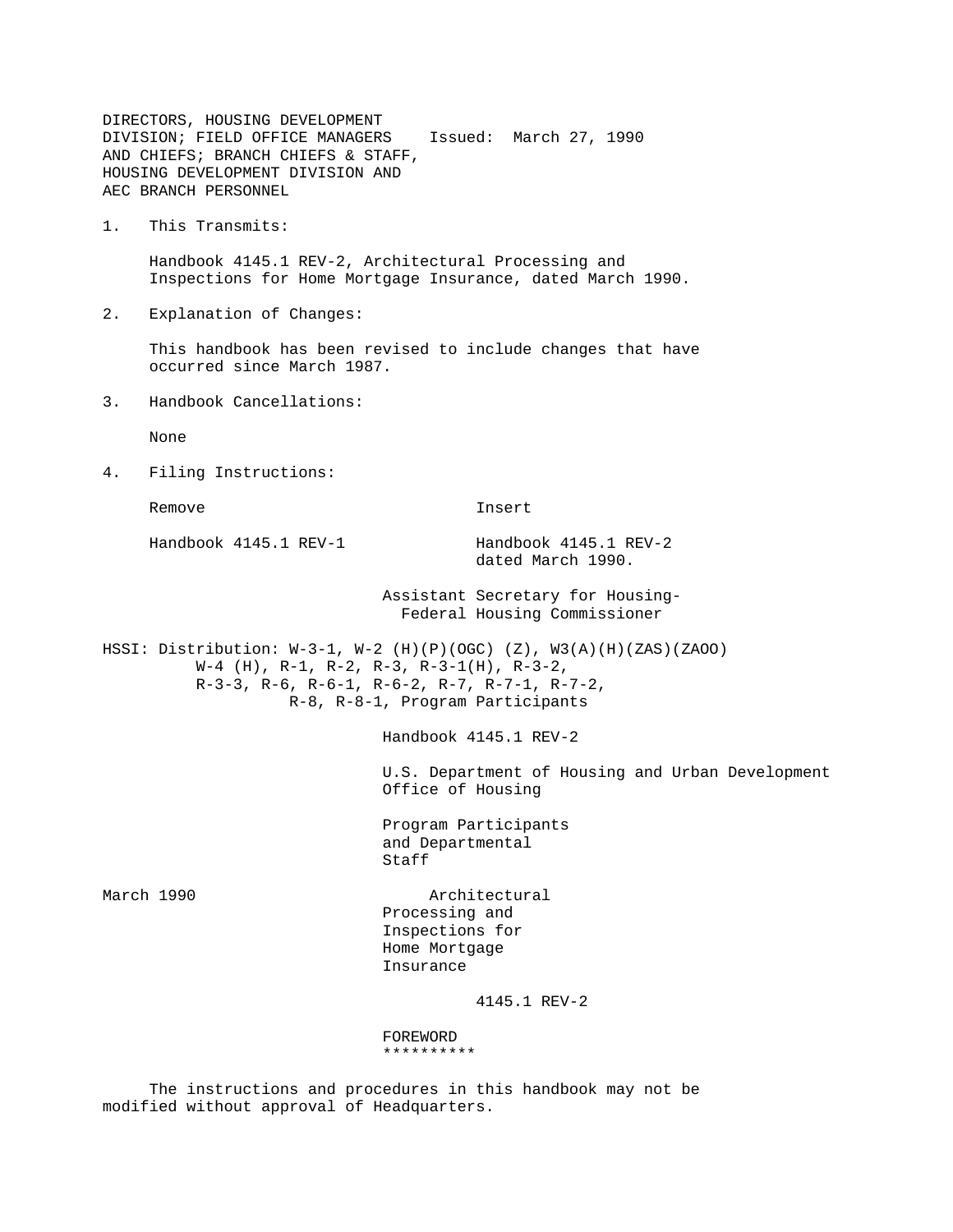DIRECTORS, HOUSING DEVELOPMENT DIVISION; FIELD OFFICE MANAGERS Issued: March 27, 1990 AND CHIEFS; BRANCH CHIEFS & STAFF, HOUSING DEVELOPMENT DIVISION AND AEC BRANCH PERSONNEL

1. This Transmits:

 Handbook 4145.1 REV-2, Architectural Processing and Inspections for Home Mortgage Insurance, dated March 1990.

2. Explanation of Changes:

 This handbook has been revised to include changes that have occurred since March 1987.

3. Handbook Cancellations:

None

4. Filing Instructions:

Remove **Insert** 

Handbook 4145.1 REV-1 Handbook 4145.1 REV-2

dated March 1990.

 Assistant Secretary for Housing- Federal Housing Commissioner

HSSI: Distribution: W-3-1, W-2 (H)(P)(OGC) (Z), W3(A)(H)(ZAS)(ZAOO)  $W-4$  (H), R-1, R-2, R-3, R-3-1(H), R-3-2, R-3-3, R-6, R-6-1, R-6-2, R-7, R-7-1, R-7-2, R-8, R-8-1, Program Participants

Handbook 4145.1 REV-2

 U.S. Department of Housing and Urban Development Office of Housing

 Program Participants and Departmental Staff

March 1990 **Architectural**  Processing and Inspections for Home Mortgage Insurance

4145.1 REV-2

 FOREWORD \*\*\*\*\*\*\*\*\*\*

 The instructions and procedures in this handbook may not be modified without approval of Headquarters.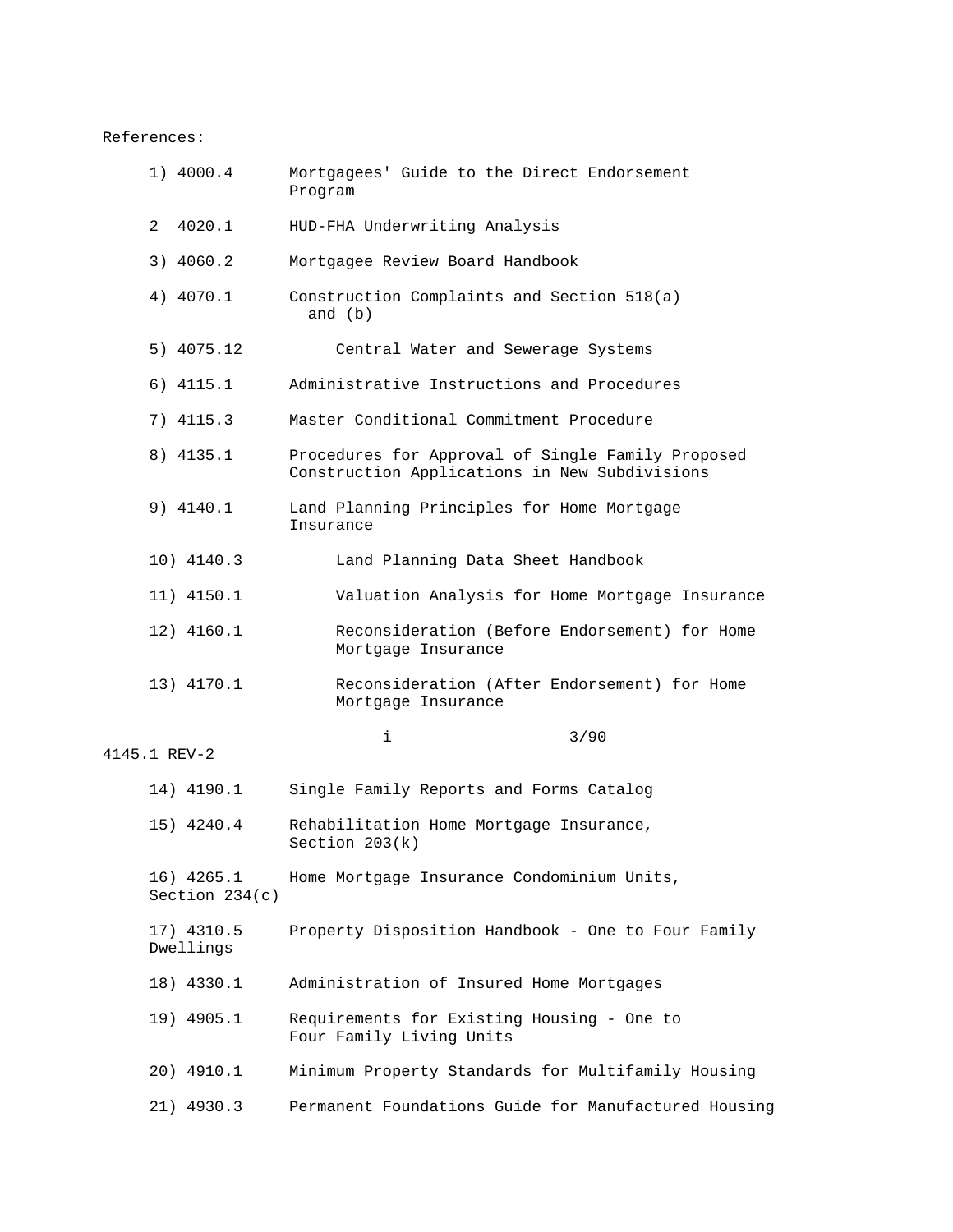## References:

| 1) 4000.4                      | Mortgagees' Guide to the Direct Endorsement<br>Program                                             |
|--------------------------------|----------------------------------------------------------------------------------------------------|
| 2<br>4020.1                    | HUD-FHA Underwriting Analysis                                                                      |
| 3) 4060.2                      | Mortgagee Review Board Handbook                                                                    |
| 4) 4070.1                      | Construction Complaints and Section 518(a)<br>and $(b)$                                            |
| 5) 4075.12                     | Central Water and Sewerage Systems                                                                 |
| 6) 4115.1                      | Administrative Instructions and Procedures                                                         |
| 7) 4115.3                      | Master Conditional Commitment Procedure                                                            |
| 8) 4135.1                      | Procedures for Approval of Single Family Proposed<br>Construction Applications in New Subdivisions |
| 9) 4140.1                      | Land Planning Principles for Home Mortgage<br>Insurance                                            |
| 10) 4140.3                     | Land Planning Data Sheet Handbook                                                                  |
| 11) 4150.1                     | Valuation Analysis for Home Mortgage Insurance                                                     |
| 12) 4160.1                     | Reconsideration (Before Endorsement) for Home<br>Mortgage Insurance                                |
| 13) 4170.1                     | Reconsideration (After Endorsement) for Home<br>Mortgage Insurance                                 |
|                                | i<br>3/90                                                                                          |
| 4145.1 REV-2                   |                                                                                                    |
| 14) 4190.1                     | Single Family Reports and Forms Catalog                                                            |
| 15) 4240.4                     | Rehabilitation Home Mortgage Insurance,<br>Section $203(k)$                                        |
| 16) 4265.1<br>Section $234(c)$ | Home Mortgage Insurance Condominium Units,                                                         |
| 17) 4310.5<br>Dwellings        | Property Disposition Handbook - One to Four Family                                                 |
| 18) 4330.1                     | Administration of Insured Home Mortgages                                                           |
| 19) 4905.1                     | Requirements for Existing Housing - One to<br>Four Family Living Units                             |
| 20) 4910.1                     | Minimum Property Standards for Multifamily Housing                                                 |
| 21) 4930.3                     | Permanent Foundations Guide for Manufactured Housing                                               |